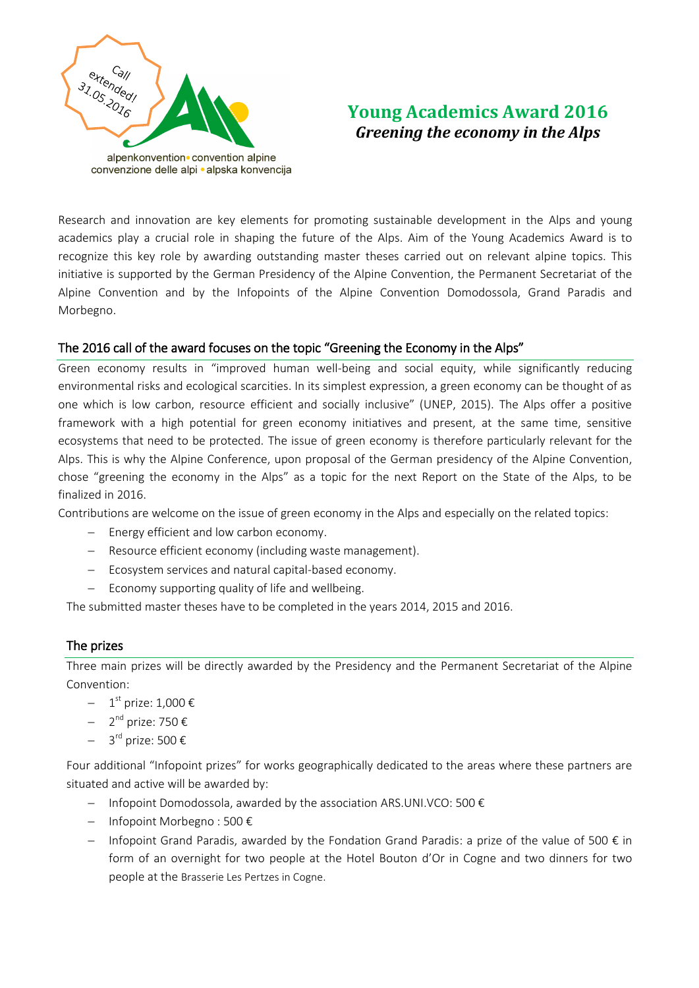

# **Young Academics Award 2016**  *Greening the economy in the Alps*

Research and innovation are key elements for promoting sustainable development in the Alps and young academics play a crucial role in shaping the future of the Alps. Aim of the Young Academics Award is to recognize this key role by awarding outstanding master theses carried out on relevant alpine topics. This initiative is supported by the German Presidency of the Alpine Convention, the Permanent Secretariat of the Alpine Convention and by the Infopoints of the Alpine Convention Domodossola, Grand Paradis and Morbegno.

# The 2016 call of the award focuses on the topic "Greening the Economy in the Alps"

Green economy results in "improved human well-being and social equity, while significantly reducing environmental risks and ecological scarcities. In its simplest expression, a green economy can be thought of as one which is low carbon, resource efficient and socially inclusive" (UNEP, 2015). The Alps offer a positive framework with a high potential for green economy initiatives and present, at the same time, sensitive ecosystems that need to be protected. The issue of green economy is therefore particularly relevant for the Alps. This is why the Alpine Conference, upon proposal of the German presidency of the Alpine Convention, chose "greening the economy in the Alps" as a topic for the next Report on the State of the Alps, to be finalized in 2016.

Contributions are welcome on the issue of green economy in the Alps and especially on the related topics:

- Energy efficient and low carbon economy.
- Resource efficient economy (including waste management).
- Ecosystem services and natural capital-based economy.
- $\overline{z}$  Economy supporting quality of life and wellbeing.

The submitted master theses have to be completed in the years 2014, 2015 and 2016.

## The prizes

Three main prizes will be directly awarded by the Presidency and the Permanent Secretariat of the Alpine Convention:

- $-$  1<sup>st</sup> prize: 1,000 €
- $-$  2<sup>nd</sup> prize: 750 €
- $-$  3<sup>rd</sup> prize: 500 €

Four additional "Infopoint prizes" for works geographically dedicated to the areas where these partners are situated and active will be awarded by:

- $-I$  Infopoint Domodossola, awarded by the association ARS.UNI.VCO: 500  $\epsilon$
- Infopoint Morbegno : 500 €
- $-I$  Infopoint Grand Paradis, awarded by the Fondation Grand Paradis: a prize of the value of 500 € in form of an overnight for two people at the Hotel Bouton d'Or in Cogne and two dinners for two people at the Brasserie Les Pertzes in Cogne.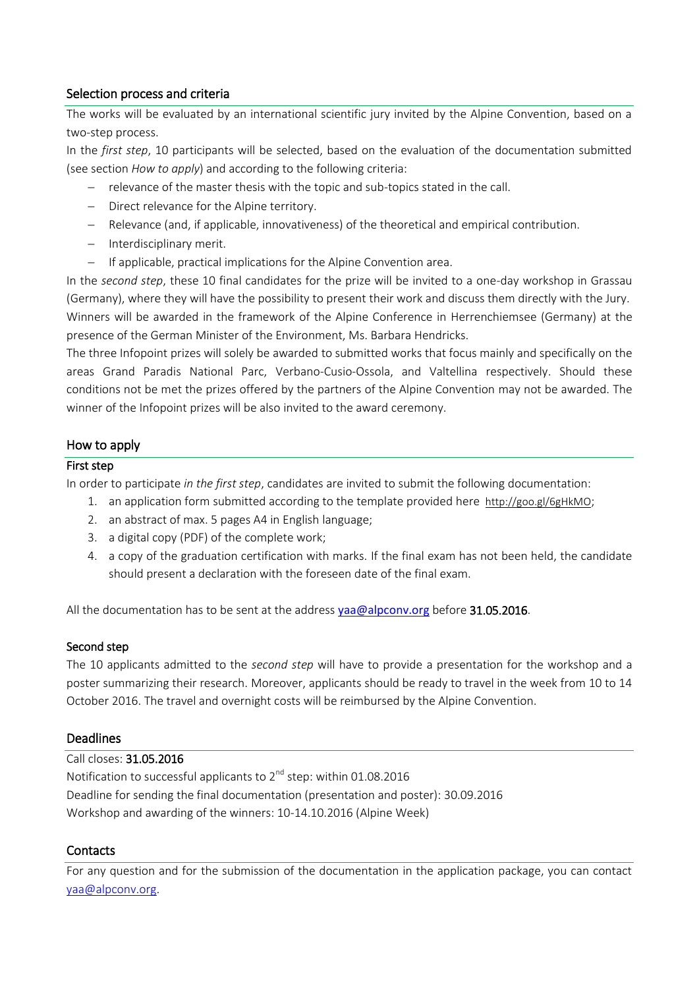# Selection process and criteria

The works will be evaluated by an international scientific jury invited by the Alpine Convention, based on a two-step process.

In the *first step*, 10 participants will be selected, based on the evaluation of the documentation submitted (see section *How to apply*) and according to the following criteria:

- relevance of the master thesis with the topic and sub-topics stated in the call.
- Direct relevance for the Alpine territory.
- Relevance (and, if applicable, innovativeness) of the theoretical and empirical contribution.
- Interdisciplinary merit.
- If applicable, practical implications for the Alpine Convention area.

In the *second step*, these 10 final candidates for the prize will be invited to a one-day workshop in Grassau (Germany), where they will have the possibility to present their work and discuss them directly with the Jury. Winners will be awarded in the framework of the Alpine Conference in Herrenchiemsee (Germany) at the presence of the German Minister of the Environment, Ms. Barbara Hendricks.

The three Infopoint prizes will solely be awarded to submitted works that focus mainly and specifically on the areas Grand Paradis National Parc, Verbano-Cusio-Ossola, and Valtellina respectively. Should these conditions not be met the prizes offered by the partners of the Alpine Convention may not be awarded. The winner of the Infopoint prizes will be also invited to the award ceremony.

# How to apply

## First step

In order to participate *in the first step*, candidates are invited to submit the following documentation:

- 1. an application form submitted according to the template provided here <http://goo.gl/6gHkMO>;
- 2. an abstract of max. 5 pages A4 in English language;
- 3. a digital copy (PDF) of the complete work;
- 4. a copy of the graduation certification with marks. If the final exam has not been held, the candidate should present a declaration with the foreseen date of the final exam.

All the documentation has to be sent at the address [yaa@alpconv.org](mailto:yaa@alpconv.org) before 31.05.2016.

#### Second step

The 10 applicants admitted to the *second step* will have to provide a presentation for the workshop and a poster summarizing their research. Moreover, applicants should be ready to travel in the week from 10 to 14 October 2016. The travel and overnight costs will be reimbursed by the Alpine Convention.

## **Deadlines**

#### Call closes: 31.05.2016

Notification to successful applicants to  $2^{nd}$  step: within 01.08.2016 Deadline for sending the final documentation (presentation and poster): 30.09.2016 Workshop and awarding of the winners: 10-14.10.2016 (Alpine Week)

## **Contacts**

For any question and for the submission of the documentation in the application package, you can contact [yaa@alpconv.org.](mailto:yaa@alpconv.org)